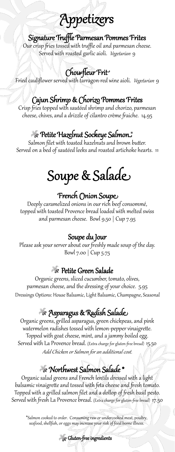# Appetizers

#### Signature Truffle Parmesan Pommes Frites

Our crisp fries tossed with truffle oil and parmesan cheese. Served with roasted garlic aioli. Vegetarian 9

## Chou-fleur Frit

Fried cauliflower served with tarragon-red wine aioli. *Vegetarian* 9

#### Cajun Shrimp & Chorizo Pommes Frites

Crisp fries topped with sautéed shrimp and chorizo, parmesan cheese, chives, and a drizzle of cilantro crème fraiche. 14.95

#### Petite Hazelnut Sockeye Salmon \*

Salmon filet with toasted hazelnuts and brown butter. Served on a bed of sautéed leeks and roasted artichoke hearts. 11

# Soupe & Salade

#### French Onion Soupe

Deeply caramelized onions in our rich beef consommé, topped with toasted Provence bread loaded with melted swiss and parmesan cheese. Bowl 9.50 | Cup 7.95

#### Soupe du Jour

Please ask your server about our freshly made soup of the day. Bowl 7.00 | Cup 5.75

#### Petite Green Salade

Organic greens, sliced cucumber, tomato, olives, parmesan cheese, and the dressing of your choice. 5.95 Dressings Options: House Balsamic, Light Balsamic, Champagne, Seasonal

### Asparagus & Radish Salade

Organic greens, grilled asparagus, green chickpeas, and pink watermelon radishes tossed with lemon-pepper vinaigrette. Topped with goat cheese, mint, and a jammy boiled egg. Served with La Provence bread. (Extra charge for gluten-free bread) 15.50 Add Chicken or Salmon for an additional cost.

### Northwest Salmon Salade \*

Organic salad greens and French lentils dressed with a light balsamic vinaigrette and tossed with feta cheese and fresh tomato. Topped with a grilled salmon filet and a dollop of fresh basil pesto. Served with fresh La Provence bread. (Extra charge for gluten-free bread) 17.50

\*Salmon cooked to order. Consuming raw or undercooked meat, poultry, seafood, shellfish, or eggs may increase your risk of food borne illness.

Gluten-free ingredients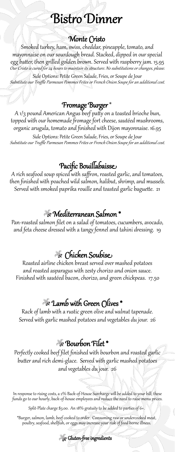# **Bistro Dinner**

#### Monte Cristo

Smoked turkey, ham, swiss, cheddar, pineapple, tomato, and mayonnaise on our sourdough bread. Stacked, dipped in our special egg batter, then grilled golden brown. Served with raspberry jam. 15.95 Our Cristo is cured for 24 hours to maintain its structure. No substitutions or changes, please.

Side Options: Petite Green Salade, Fries, or Soupe de Jour Substitute our Truffle Parmesan Pommes Frites or French Onion Soupe for an additional cost.

#### Fromage Burger \*

A 1/3 pound American Angus beef patty on a toasted brioche bun, topped with our homemade fromage fort cheese, sautéed mushrooms, organic arugula, tomato and finished with Dijon mayonnaise. 16.95

Side Options: Petite Green Salade, Fries, or Soupe de Jour Substitute our Truffle Parmesan Pommes Frites or French Onion Soupe for an additional cost.

#### Pacific Bouillabaisse

A rich seafood soup spiced with saffron, roasted garlic, and tomatoes, then finished with poached wild salmon, halibut, shrimp, and mussels. Served with smoked paprika rouille and toasted garlic baguette. 21

#### Mediterranean Salmon \*

Pan-roasted salmon filet on a salad of tomatoes, cucumbers, avocado, and feta cheese dressed with a tangy fennel and tahini dressing. 19

#### Chicken Soubise

Roasted airline chicken breast served over mashed potatoes and roasted asparagus with zesty chorizo and onion sauce. Finished with sautéed bacon, chorizo, and green chickpeas. 17.50

#### Lamb with Green Olives \*

Rack of lamb with a rustic green olive and walnut tapenade. Served with garlic mashed potatoes and vegetables du jour. 26

### Bourbon Filet \*

Perfectly cooked beef filet finished with bourbon and roasted garlic butter and rich demi-glace. Served with garlic mashed potatoes and vegetables du jour. 26

In response to rising costs, a 2% Back-of-House Surcharge will be added to your bill; these funds go to our hourly, back-of-house employees and reduce the need to raise menu prices.

Split-Plate charge \$3.00. An 18% gratuity to be added to parties of 6+.

\*Burger, salmon, lamb, beef cooked to order. Consuming raw or undercooked meat, poultry, seafood, shellfish, or eggs may increase your risk of food borne illness.

Gluten-free ingredients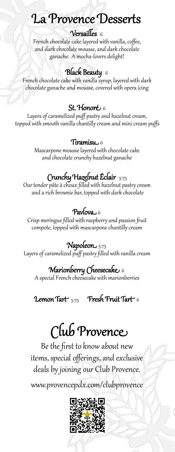# La Provence Desserts

#### Versailles 6

French chocolate cake layered with vanilla, coffee, and dark chocolate mousse, and dark chocolate ganache. A mocha-lovers delight!

#### Black Beauty 6

French chocolate cake with vanilla syrup, layered with dark chocolate ganache and mousse, covered with opera icing

#### St. Honoré 6

Layers of caramelized puff pastry and hazelnut cream, topped with smooth vanilla chantilly cream and mini cream puffs

#### Tiramisu  $6$

Mascarpone mousse layered with chocolate cake and chocolate crunchy hazelnut ganache

# Crunchy Hazelnut Éclair 5.75

Our tender pâte à choux filled with hazelnut pastry cream and a rich brownie bar, topped with dark chocolate

#### Pavlova $\overline{6}$ 6

Crisp meringue filled with raspberry and passion fruit compote, topped with mascarpone chantilly cream

### Napoleon 5.75

Layers of caramelized puff pastry filled with vanilla cream

## Marionberry Cheesecake 6

A special French cheesecake with marionberries

Lemon Tart  $_{5.75}$  Fresh Fruit Tart 6

# Club Provence

Be the first to know about new items, special offerings, and exclusive deals by joining our Club Provence.

www.provencepdx.com/clubprovence

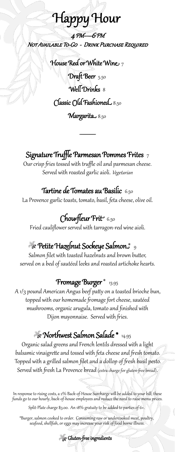# Happy Hour

4 PM—6 PM Not Available To-Go - Drink Purchase Required

> House Red or White Wine  $_7$ Draft Beer 5.50 Well Drinks 8 Classic Old Fashioned 8.50

Margarita<sub>50</sub>

 $\overline{\phantom{a}}$ 

#### Signature Truffle Parmesan Pommes Frites  $_7$

Our crisp fries tossed with truffle oil and parmesan cheese. Served with roasted garlic aioli. Vegetarian

#### Tartine de Tomates au Basilic 6.50

La Provence garlic toasts, tomato, basil, feta cheese, olive oil.

## Chou-fleur Frit 6.50

Fried cauliflower served with tarragon-red wine aioli.

## $\gg$  Petite Hazelnut Sockeye Salmon $z$   $_{9}$

Salmon filet with toasted hazelnuts and brown butter, served on a bed of sautéed leeks and roasted artichoke hearts.

#### Fromage Burger \* 13.95

A 1/3 pound American Angus beef patty on a toasted brioche bun, topped with our homemade fromage fort cheese, sautéed mushrooms, organic arugula, tomato and finished with Dijon mayonnaise. Served with fries.

# Northwest Salmon Salade \* 14.95

Organic salad greens and French lentils dressed with a light balsamic vinaigrette and tossed with feta cheese and fresh tomato. Topped with a grilled salmon filet and a dollop of fresh basil pesto. Served with fresh La Provence bread (extra charge for gluten-free bread).

In response to rising costs, a 2% Back-of-House Surcharge will be added to your bill; these funds go to our hourly, back-of-house employees and reduce the need to raise menu prices.

Split-Plate charge \$3.00. An 18% gratuity to be added to parties of 6+.

\*Burger, salmon cooked to order. Consuming raw or undercooked meat, poultry, seafood, shellfish, or eggs may increase your risk of food borne illness.

Gluten-free ingredients